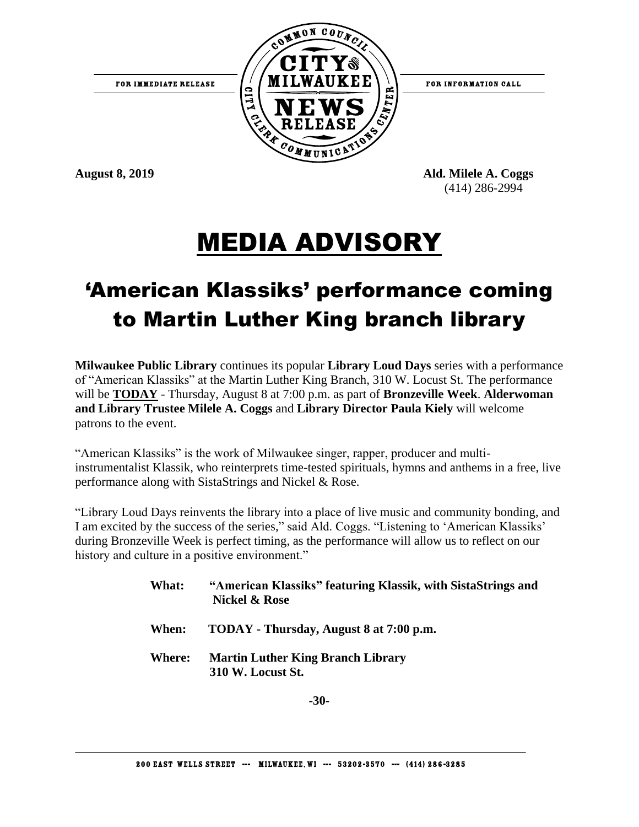



FOR INFORMATION CALL

**August 8, 2019 Ald. Milele A. Coggs**  (414) 286-2994

## MEDIA ADVISORY

## 'American Klassiks' performance coming to Martin Luther King branch library

**Milwaukee Public Library** continues its popular **Library Loud Days** series with a performance of "American Klassiks" at the Martin Luther King Branch, 310 W. Locust St. The performance will be **TODAY** - Thursday, August 8 at 7:00 p.m. as part of **Bronzeville Week**. **Alderwoman and Library Trustee Milele A. Coggs** and **Library Director Paula Kiely** will welcome patrons to the event.

"American Klassiks" is the work of Milwaukee singer, rapper, producer and multiinstrumentalist Klassik, who reinterprets time-tested spirituals, hymns and anthems in a free, live performance along with SistaStrings and Nickel & Rose.

"Library Loud Days reinvents the library into a place of live music and community bonding, and I am excited by the success of the series," said Ald. Coggs. "Listening to 'American Klassiks' during Bronzeville Week is perfect timing, as the performance will allow us to reflect on our history and culture in a positive environment."

> **What: "American Klassiks" featuring Klassik, with SistaStrings and Nickel & Rose When: TODAY - Thursday, August 8 at 7:00 p.m. Where: Martin Luther King Branch Library 310 W. Locust St.**

> > **-30-**